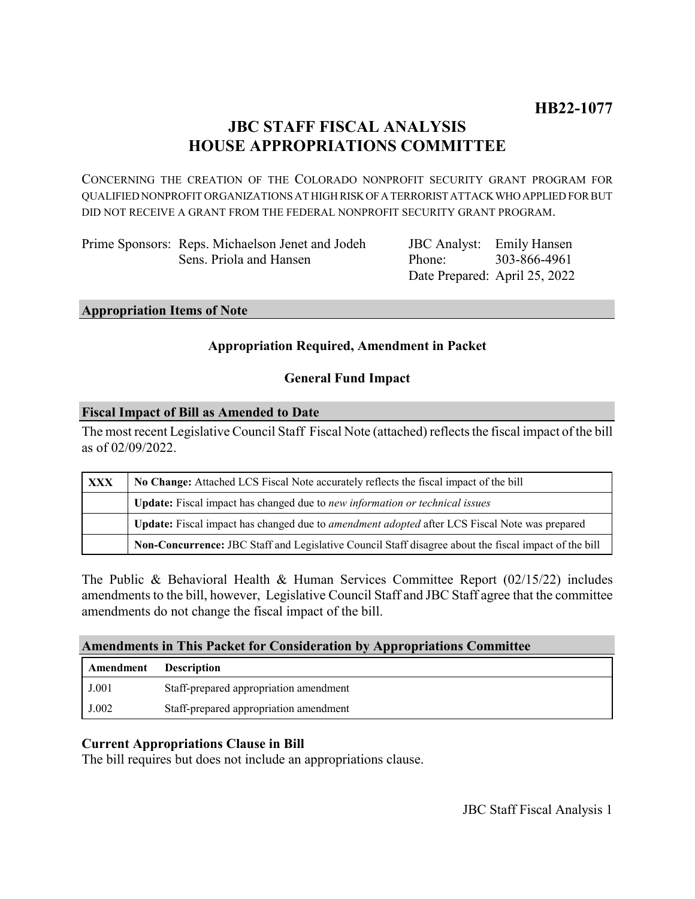# **JBC STAFF FISCAL ANALYSIS HOUSE APPROPRIATIONS COMMITTEE**

CONCERNING THE CREATION OF THE COLORADO NONPROFIT SECURITY GRANT PROGRAM FOR QUALIFIED NONPROFIT ORGANIZATIONS AT HIGH RISK OF A TERRORIST ATTACK WHO APPLIED FOR BUT DID NOT RECEIVE A GRANT FROM THE FEDERAL NONPROFIT SECURITY GRANT PROGRAM.

| Prime Sponsors: Reps. Michaelson Jenet and Jodeh | JBC Analyst: Emily Hansen |                               |
|--------------------------------------------------|---------------------------|-------------------------------|
| Sens. Priola and Hansen                          | Phone: 303-866-4961       |                               |
|                                                  |                           | Date Prepared: April 25, 2022 |

#### **Appropriation Items of Note**

# **Appropriation Required, Amendment in Packet**

# **General Fund Impact**

#### **Fiscal Impact of Bill as Amended to Date**

The most recent Legislative Council Staff Fiscal Note (attached) reflects the fiscal impact of the bill as of 02/09/2022.

| XXX | No Change: Attached LCS Fiscal Note accurately reflects the fiscal impact of the bill                       |  |
|-----|-------------------------------------------------------------------------------------------------------------|--|
|     | Update: Fiscal impact has changed due to new information or technical issues                                |  |
|     | <b>Update:</b> Fiscal impact has changed due to <i>amendment adopted</i> after LCS Fiscal Note was prepared |  |
|     | Non-Concurrence: JBC Staff and Legislative Council Staff disagree about the fiscal impact of the bill       |  |

The Public & Behavioral Health & Human Services Committee Report (02/15/22) includes amendments to the bill, however, Legislative Council Staff and JBC Staff agree that the committee amendments do not change the fiscal impact of the bill.

### **Amendments in This Packet for Consideration by Appropriations Committee**

| Amendment | <b>Description</b>                     |
|-----------|----------------------------------------|
| J.001     | Staff-prepared appropriation amendment |
| J.002     | Staff-prepared appropriation amendment |

### **Current Appropriations Clause in Bill**

The bill requires but does not include an appropriations clause.